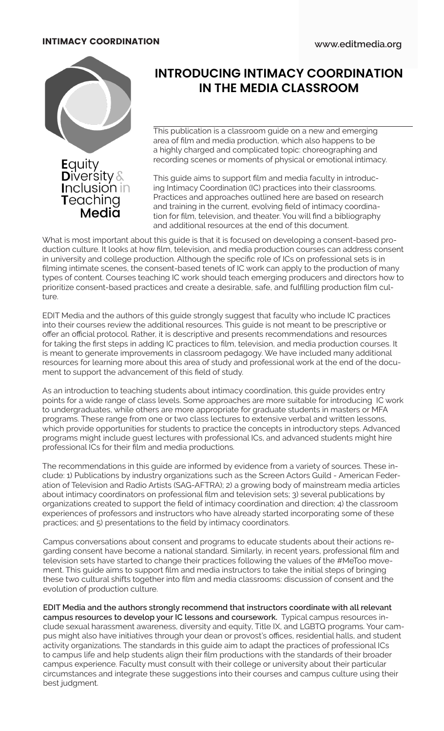

# **INTRODUCING INTIMACY COORDINATION IN THE MEDIA CLASSROOM**

This publication is a classroom guide on a new and emerging area of film and media production, which also happens to be a highly charged and complicated topic: choreographing and recording scenes or moments of physical or emotional intimacy.

This guide aims to support film and media faculty in introducing Intimacy Coordination (IC) practices into their classrooms. Practices and approaches outlined here are based on research and training in the current, evolving field of intimacy coordination for film, television, and theater. You will find a bibliography and additional resources at the end of this document.

What is most important about this guide is that it is focused on developing a consent-based production culture. It looks at how film, television, and media production courses can address consent in university and college production. Although the specific role of ICs on professional sets is in filming intimate scenes, the consent-based tenets of IC work can apply to the production of many types of content. Courses teaching IC work should teach emerging producers and directors how to prioritize consent-based practices and create a desirable, safe, and fulfilling production film culture.

EDIT Media and the authors of this guide strongly suggest that faculty who include IC practices into their courses review the additional resources. This guide is not meant to be prescriptive or offer an official protocol. Rather, it is descriptive and presents recommendations and resources for taking the first steps in adding IC practices to film, television, and media production courses. It is meant to generate improvements in classroom pedagogy. We have included many additional resources for learning more about this area of study and professional work at the end of the document to support the advancement of this field of study.

As an introduction to teaching students about intimacy coordination, this guide provides entry points for a wide range of class levels. Some approaches are more suitable for introducing IC work to undergraduates, while others are more appropriate for graduate students in masters or MFA programs. These range from one or two class lectures to extensive verbal and written lessons, which provide opportunities for students to practice the concepts in introductory steps. Advanced programs might include guest lectures with professional ICs, and advanced students might hire professional ICs for their film and media productions.

The recommendations in this guide are informed by evidence from a variety of sources. These include: 1) Publications by industry organizations such as the Screen Actors Guild - American Federation of Television and Radio Artists (SAG-AFTRA); 2) a growing body of mainstream media articles about intimacy coordinators on professional film and television sets; 3) several publications by organizations created to support the field of intimacy coordination and direction; 4) the classroom experiences of professors and instructors who have already started incorporating some of these practices; and 5) presentations to the field by intimacy coordinators.

Campus conversations about consent and programs to educate students about their actions regarding consent have become a national standard. Similarly, in recent years, professional film and television sets have started to change their practices following the values of the #MeToo movement. This guide aims to support film and media instructors to take the initial steps of bringing these two cultural shifts together into film and media classrooms: discussion of consent and the evolution of production culture.

**EDIT Media and the authors strongly recommend that instructors coordinate with all relevant campus resources to develop your IC lessons and coursework.** Typical campus resources include sexual harassment awareness, diversity and equity, Title IX, and LGBTQ programs. Your campus might also have initiatives through your dean or provost's offices, residential halls, and student activity organizations. The standards in this guide aim to adapt the practices of professional ICs to campus life and help students align their film productions with the standards of their broader campus experience. Faculty must consult with their college or university about their particular circumstances and integrate these suggestions into their courses and campus culture using their best judgment.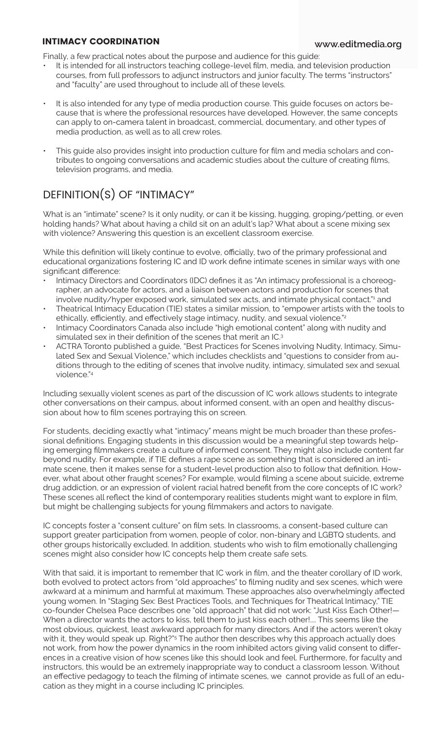Finally, a few practical notes about the purpose and audience for this guide:

- It is intended for all instructors teaching college-level film, media, and television production courses, from full professors to adjunct instructors and junior faculty. The terms "instructors" and "faculty" are used throughout to include all of these levels.
- It is also intended for any type of media production course. This guide focuses on actors because that is where the professional resources have developed. However, the same concepts can apply to on-camera talent in broadcast, commercial, documentary, and other types of media production, as well as to all crew roles.
- This guide also provides insight into production culture for film and media scholars and contributes to ongoing conversations and academic studies about the culture of creating films, television programs, and media.

# DEFINITION(S) OF "INTIMACY"

What is an "intimate" scene? Is it only nudity, or can it be kissing, hugging, groping/petting, or even holding hands? What about having a child sit on an adult's lap? What about a scene mixing sex with violence? Answering this question is an excellent classroom exercise.

While this definition will likely continue to evolve, officially, two of the primary professional and educational organizations fostering IC and ID work define intimate scenes in similar ways with one significant difference:

- Intimacy Directors and Coordinators (IDC) defines it as "An intimacy professional is a choreographer, an advocate for actors, and a liaison between actors and production for scenes that involve nudity/hyper exposed work, simulated sex acts, and intimate physical contact."<sup>1</sup> and
- Theatrical Intimacy Education (TIE) states a similar mission, to "empower artists with the tools to ethically, efficiently, and effectively stage intimacy, nudity, and sexual violence.<sup>"2</sup>
- Intimacy Coordinators Canada also include "high emotional content" along with nudity and simulated sex in their definition of the scenes that merit an IC.<sup>3</sup>
- ACTRA Toronto published a guide, "Best Practices for Scenes involving Nudity, Intimacy, Simulated Sex and Sexual Violence," which includes checklists and "questions to consider from auditions through to the editing of scenes that involve nudity, intimacy, simulated sex and sexual violence."4

Including sexually violent scenes as part of the discussion of IC work allows students to integrate other conversations on their campus, about informed consent, with an open and healthy discussion about how to film scenes portraying this on screen.

For students, deciding exactly what "intimacy" means might be much broader than these professional definitions. Engaging students in this discussion would be a meaningful step towards helping emerging filmmakers create a culture of informed consent. They might also include content far beyond nudity. For example, if TIE defines a rape scene as something that is considered an intimate scene, then it makes sense for a student-level production also to follow that definition. However, what about other fraught scenes? For example, would filming a scene about suicide, extreme drug addiction, or an expression of violent racial hatred benefit from the core concepts of IC work? These scenes all reflect the kind of contemporary realities students might want to explore in film, but might be challenging subjects for young filmmakers and actors to navigate.

IC concepts foster a "consent culture" on film sets. In classrooms, a consent-based culture can support greater participation from women, people of color, non-binary and LGBTQ students, and other groups historically excluded. In addition, students who wish to film emotionally challenging scenes might also consider how IC concepts help them create safe sets.

With that said, it is important to remember that IC work in film, and the theater corollary of ID work, both evolved to protect actors from "old approaches" to filming nudity and sex scenes, which were awkward at a minimum and harmful at maximum. These approaches also overwhelmingly affected young women. In "Staging Sex: Best Practices Tools, and Techniques for Theatrical Intimacy," TIE co-founder Chelsea Pace describes one "old approach" that did not work: "Just Kiss Each Other!— When a director wants the actors to kiss, tell them to just kiss each other!.... This seems like the most obvious, quickest, least awkward approach for many directors. And if the actors weren't okay with it, they would speak up. Right?"<sup>5</sup> The author then describes why this approach actually does not work, from how the power dynamics in the room inhibited actors giving valid consent to differences in a creative vision of how scenes like this should look and feel. Furthermore, for faculty and instructors, this would be an extremely inappropriate way to conduct a classroom lesson. Without an effective pedagogy to teach the filming of intimate scenes, we cannot provide as full of an education as they might in a course including IC principles.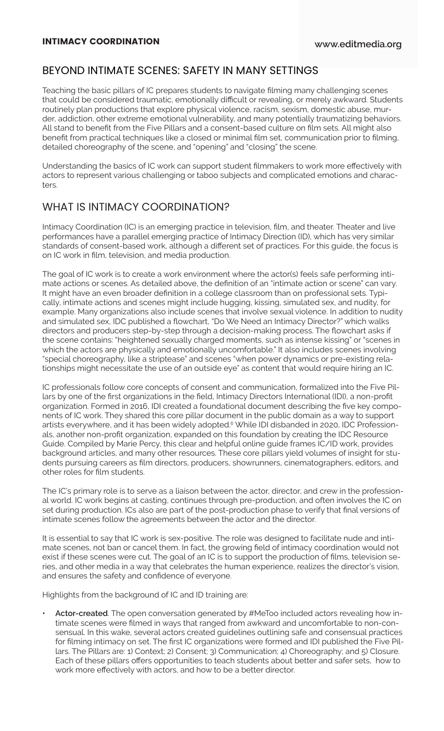### BEYOND INTIMATE SCENES: SAFETY IN MANY SETTINGS

Teaching the basic pillars of IC prepares students to navigate filming many challenging scenes that could be considered traumatic, emotionally difficult or revealing, or merely awkward. Students routinely plan productions that explore physical violence, racism, sexism, domestic abuse, murder, addiction, other extreme emotional vulnerability, and many potentially traumatizing behaviors. All stand to benefit from the Five Pillars and a consent-based culture on film sets. All might also benefit from practical techniques like a closed or minimal film set, communication prior to filming, detailed choreography of the scene, and "opening" and "closing" the scene.

Understanding the basics of IC work can support student filmmakers to work more effectively with actors to represent various challenging or taboo subjects and complicated emotions and characters

### WHAT IS INTIMACY COORDINATION?

Intimacy Coordination (IC) is an emerging practice in television, film, and theater. Theater and live performances have a parallel emerging practice of Intimacy Direction (ID), which has very similar standards of consent-based work, although a different set of practices. For this guide, the focus is on IC work in film, television, and media production.

The goal of IC work is to create a work environment where the actor(s) feels safe performing intimate actions or scenes. As detailed above, the definition of an "intimate action or scene" can vary. It might have an even broader definition in a college classroom than on professional sets. Typically, intimate actions and scenes might include hugging, kissing, simulated sex, and nudity, for example. Many organizations also include scenes that involve sexual violence. In addition to nudity and simulated sex, IDC published a flowchart, "Do We Need an Intimacy Director?" which walks directors and producers step-by-step through a decision-making process. The flowchart asks if the scene contains: "heightened sexually charged moments, such as intense kissing" or "scenes in which the actors are physically and emotionally uncomfortable." It also includes scenes involving "special choreography, like a striptease" and scenes "when power dynamics or pre-existing relationships might necessitate the use of an outside eye" as content that would require hiring an IC.

IC professionals follow core concepts of consent and communication, formalized into the Five Pillars by one of the first organizations in the field, Intimacy Directors International (IDI), a non-profit organization. Formed in 2016, IDI created a foundational document describing the five key components of IC work. They shared this core pillar document in the public domain as a way to support artists everywhere, and it has been widely adopted.<sup>6</sup> While IDI disbanded in 2020, IDC Professionals, another non-profit organization, expanded on this foundation by creating the IDC Resource Guide. Compiled by Marie Percy, this clear and helpful online guide frames IC/ID work, provides background articles, and many other resources. These core pillars yield volumes of insight for students pursuing careers as film directors, producers, showrunners, cinematographers, editors, and other roles for film students.

The IC's primary role is to serve as a liaison between the actor, director, and crew in the professional world. IC work begins at casting, continues through pre-production, and often involves the IC on set during production. ICs also are part of the post-production phase to verify that final versions of intimate scenes follow the agreements between the actor and the director.

It is essential to say that IC work is sex-positive. The role was designed to facilitate nude and intimate scenes, not ban or cancel them. In fact, the growing field of intimacy coordination would not exist if these scenes were cut. The goal of an IC is to support the production of films, television series, and other media in a way that celebrates the human experience, realizes the director's vision, and ensures the safety and confidence of everyone.

Highlights from the background of IC and ID training are:

**• Actor-created**. The open conversation generated by #MeToo included actors revealing how intimate scenes were filmed in ways that ranged from awkward and uncomfortable to non-consensual. In this wake, several actors created guidelines outlining safe and consensual practices for filming intimacy on set. The first IC organizations were formed and IDI published the Five Pillars. The Pillars are: 1) Context; 2) Consent; 3) Communication; 4) Choreography; and 5) Closure. Each of these pillars offers opportunities to teach students about better and safer sets, how to work more effectively with actors, and how to be a better director.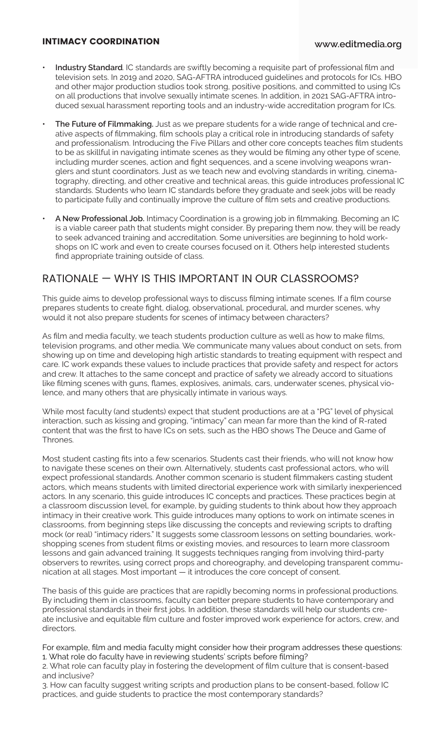- **• Industry Standard**. IC standards are swiftly becoming a requisite part of professional film and television sets. In 2019 and 2020, SAG-AFTRA introduced guidelines and protocols for ICs. HBO and other major production studios took strong, positive positions, and committed to using ICs on all productions that involve sexually intimate scenes. In addition, in 2021 SAG-AFTRA introduced sexual harassment reporting tools and an industry-wide accreditation program for ICs.
- **• The Future of Filmmaking.** Just as we prepare students for a wide range of technical and creative aspects of filmmaking, film schools play a critical role in introducing standards of safety and professionalism. Introducing the Five Pillars and other core concepts teaches film students to be as skillful in navigating intimate scenes as they would be filming any other type of scene, including murder scenes, action and fight sequences, and a scene involving weapons wranglers and stunt coordinators. Just as we teach new and evolving standards in writing, cinematography, directing, and other creative and technical areas, this guide introduces professional IC standards. Students who learn IC standards before they graduate and seek jobs will be ready to participate fully and continually improve the culture of film sets and creative productions.
- **• A New Professional Job.** Intimacy Coordination is a growing job in filmmaking. Becoming an IC is a viable career path that students might consider. By preparing them now, they will be ready to seek advanced training and accreditation. Some universities are beginning to hold workshops on IC work and even to create courses focused on it. Others help interested students find appropriate training outside of class.

### RATIONALE — WHY IS THIS IMPORTANT IN OUR CLASSROOMS?

This guide aims to develop professional ways to discuss filming intimate scenes. If a film course prepares students to create fight, dialog, observational, procedural, and murder scenes, why would it not also prepare students for scenes of intimacy between characters?

As film and media faculty, we teach students production culture as well as how to make films, television programs, and other media. We communicate many values about conduct on sets, from showing up on time and developing high artistic standards to treating equipment with respect and care. IC work expands these values to include practices that provide safety and respect for actors and crew. It attaches to the same concept and practice of safety we already accord to situations like filming scenes with guns, flames, explosives, animals, cars, underwater scenes, physical violence, and many others that are physically intimate in various ways.

While most faculty (and students) expect that student productions are at a "PG" level of physical interaction, such as kissing and groping, "intimacy" can mean far more than the kind of R-rated content that was the first to have ICs on sets, such as the HBO shows The Deuce and Game of Thrones.

Most student casting fits into a few scenarios. Students cast their friends, who will not know how to navigate these scenes on their own. Alternatively, students cast professional actors, who will expect professional standards. Another common scenario is student filmmakers casting student actors, which means students with limited directorial experience work with similarly inexperienced actors. In any scenario, this guide introduces IC concepts and practices. These practices begin at a classroom discussion level, for example, by guiding students to think about how they approach intimacy in their creative work. This guide introduces many options to work on intimate scenes in classrooms, from beginning steps like discussing the concepts and reviewing scripts to drafting mock (or real) "intimacy riders." It suggests some classroom lessons on setting boundaries, workshopping scenes from student films or existing movies, and resources to learn more classroom lessons and gain advanced training. It suggests techniques ranging from involving third-party observers to rewrites, using correct props and choreography, and developing transparent communication at all stages. Most important — it introduces the core concept of consent.

The basis of this guide are practices that are rapidly becoming norms in professional productions. By including them in classrooms, faculty can better prepare students to have contemporary and professional standards in their first jobs. In addition, these standards will help our students create inclusive and equitable film culture and foster improved work experience for actors, crew, and directors.

For example, film and media faculty might consider how their program addresses these questions: 1. What role do faculty have in reviewing students' scripts before filming?

2. What role can faculty play in fostering the development of film culture that is consent-based and inclusive?

3. How can faculty suggest writing scripts and production plans to be consent-based, follow IC practices, and guide students to practice the most contemporary standards?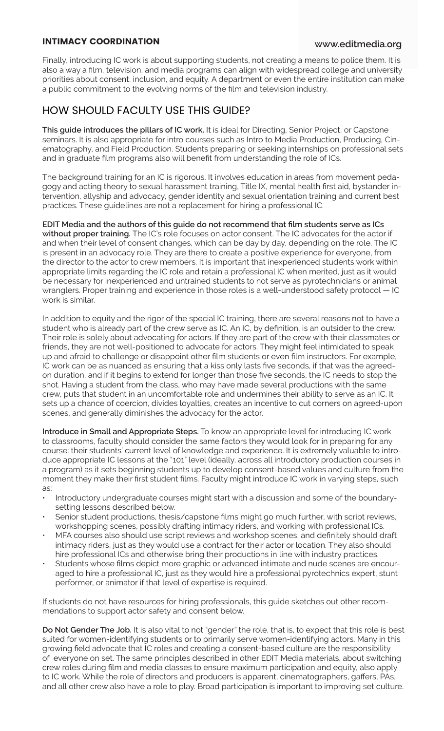Finally, introducing IC work is about supporting students, not creating a means to police them. It is also a way a film, television, and media programs can align with widespread college and university priorities about consent, inclusion, and equity. A department or even the entire institution can make a public commitment to the evolving norms of the film and television industry.

### HOW SHOULD FACULTY USE THIS GUIDE?

**This guide introduces the pillars of IC work.** It is ideal for Directing, Senior Project, or Capstone seminars. It is also appropriate for intro courses such as Intro to Media Production, Producing, Cinematography, and Field Production. Students preparing or seeking internships on professional sets and in graduate film programs also will benefit from understanding the role of ICs.

The background training for an IC is rigorous. It involves education in areas from movement pedagogy and acting theory to sexual harassment training, Title IX, mental health first aid, bystander intervention, allyship and advocacy, gender identity and sexual orientation training and current best practices. These guidelines are not a replacement for hiring a professional IC.

**EDIT Media and the authors of this guide do not recommend that film students serve as ICs without proper training.** The IC's role focuses on actor consent. The IC advocates for the actor if and when their level of consent changes, which can be day by day, depending on the role. The IC is present in an advocacy role. They are there to create a positive experience for everyone, from the director to the actor to crew members. It is important that inexperienced students work within appropriate limits regarding the IC role and retain a professional IC when merited, just as it would be necessary for inexperienced and untrained students to not serve as pyrotechnicians or animal wranglers. Proper training and experience in those roles is a well-understood safety protocol — IC work is similar.

In addition to equity and the rigor of the special IC training, there are several reasons not to have a student who is already part of the crew serve as IC. An IC, by definition, is an outsider to the crew. Their role is solely about advocating for actors. If they are part of the crew with their classmates or friends, they are not well-positioned to advocate for actors. They might feel intimidated to speak up and afraid to challenge or disappoint other film students or even film instructors. For example, IC work can be as nuanced as ensuring that a kiss only lasts five seconds, if that was the agreedon duration, and if it begins to extend for longer than those five seconds, the IC needs to stop the shot. Having a student from the class, who may have made several productions with the same crew, puts that student in an uncomfortable role and undermines their ability to serve as an IC. It sets up a chance of coercion, divides loyalties, creates an incentive to cut corners on agreed-upon scenes, and generally diminishes the advocacy for the actor.

**Introduce in Small and Appropriate Steps.** To know an appropriate level for introducing IC work to classrooms, faculty should consider the same factors they would look for in preparing for any course: their students' current level of knowledge and experience. It is extremely valuable to introduce appropriate IC lessons at the "101" level (ideally, across all introductory production courses in a program) as it sets beginning students up to develop consent-based values and culture from the moment they make their first student films. Faculty might introduce IC work in varying steps, such as:

- Introductory undergraduate courses might start with a discussion and some of the boundarysetting lessons described below.
- Senior student productions, thesis/capstone films might go much further, with script reviews, workshopping scenes, possibly drafting intimacy riders, and working with professional ICs.
- MFA courses also should use script reviews and workshop scenes, and definitely should draft intimacy riders, just as they would use a contract for their actor or location. They also should hire professional ICs and otherwise bring their productions in line with industry practices.
- Students whose films depict more graphic or advanced intimate and nude scenes are encouraged to hire a professional IC, just as they would hire a professional pyrotechnics expert, stunt performer, or animator if that level of expertise is required.

If students do not have resources for hiring professionals, this guide sketches out other recommendations to support actor safety and consent below.

**Do Not Gender The Job.** It is also vital to not "gender" the role, that is, to expect that this role is best suited for women-identifying students or to primarily serve women-identifying actors. Many in this growing field advocate that IC roles and creating a consent-based culture are the responsibility of everyone on set. The same principles described in other EDIT Media materials, about switching crew roles during film and media classes to ensure maximum participation and equity, also apply to IC work. While the role of directors and producers is apparent, cinematographers, gaffers, PAs, and all other crew also have a role to play. Broad participation is important to improving set culture.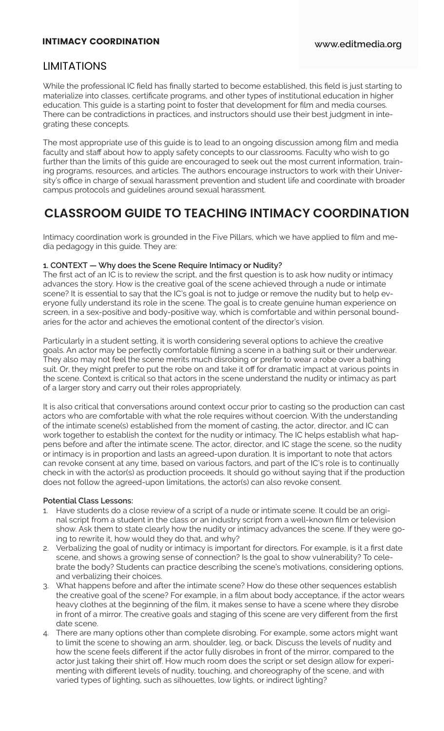## LIMITATIONS

While the professional IC field has finally started to become established, this field is just starting to materialize into classes, certificate programs, and other types of institutional education in higher education. This guide is a starting point to foster that development for film and media courses. There can be contradictions in practices, and instructors should use their best judgment in integrating these concepts.

The most appropriate use of this guide is to lead to an ongoing discussion among film and media faculty and staff about how to apply safety concepts to our classrooms. Faculty who wish to go further than the limits of this guide are encouraged to seek out the most current information, training programs, resources, and articles. The authors encourage instructors to work with their University's office in charge of sexual harassment prevention and student life and coordinate with broader campus protocols and guidelines around sexual harassment.

# **CLASSROOM GUIDE TO TEACHING INTIMACY COORDINATION**

Intimacy coordination work is grounded in the Five Pillars, which we have applied to film and media pedagogy in this guide. They are:

### **1. CONTEXT — Why does the Scene Require Intimacy or Nudity?**

The first act of an IC is to review the script, and the first question is to ask how nudity or intimacy advances the story. How is the creative goal of the scene achieved through a nude or intimate scene? It is essential to say that the IC's goal is not to judge or remove the nudity but to help everyone fully understand its role in the scene. The goal is to create genuine human experience on screen, in a sex-positive and body-positive way, which is comfortable and within personal boundaries for the actor and achieves the emotional content of the director's vision.

Particularly in a student setting, it is worth considering several options to achieve the creative goals. An actor may be perfectly comfortable filming a scene in a bathing suit or their underwear. They also may not feel the scene merits much disrobing or prefer to wear a robe over a bathing suit. Or, they might prefer to put the robe on and take it off for dramatic impact at various points in the scene. Context is critical so that actors in the scene understand the nudity or intimacy as part of a larger story and carry out their roles appropriately.

It is also critical that conversations around context occur prior to casting so the production can cast actors who are comfortable with what the role requires without coercion. With the understanding of the intimate scene(s) established from the moment of casting, the actor, director, and IC can work together to establish the context for the nudity or intimacy. The IC helps establish what happens before and after the intimate scene. The actor, director, and IC stage the scene, so the nudity or intimacy is in proportion and lasts an agreed-upon duration. It is important to note that actors can revoke consent at any time, based on various factors, and part of the IC's role is to continually check in with the actor(s) as production proceeds. It should go without saying that if the production does not follow the agreed-upon limitations, the actor(s) can also revoke consent.

### **Potential Class Lessons:**

- 1. Have students do a close review of a script of a nude or intimate scene. It could be an original script from a student in the class or an industry script from a well-known film or television show. Ask them to state clearly how the nudity or intimacy advances the scene. If they were going to rewrite it, how would they do that, and why?
- 2. Verbalizing the goal of nudity or intimacy is important for directors. For example, is it a first date scene, and shows a growing sense of connection? Is the goal to show vulnerability? To celebrate the body? Students can practice describing the scene's motivations, considering options, and verbalizing their choices.
- 3. What happens before and after the intimate scene? How do these other sequences establish the creative goal of the scene? For example, in a film about body acceptance, if the actor wears heavy clothes at the beginning of the film, it makes sense to have a scene where they disrobe in front of a mirror. The creative goals and staging of this scene are very different from the first date scene.
- There are many options other than complete disrobing. For example, some actors might want to limit the scene to showing an arm, shoulder, leg, or back. Discuss the levels of nudity and how the scene feels different if the actor fully disrobes in front of the mirror, compared to the actor just taking their shirt off. How much room does the script or set design allow for experimenting with different levels of nudity, touching, and choreography of the scene, and with varied types of lighting, such as silhouettes, low lights, or indirect lighting?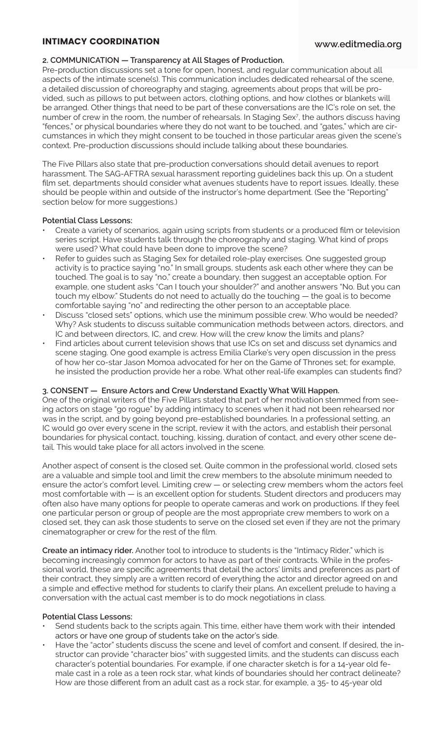#### **2. COMMUNICATION — Transparency at All Stages of Production.**

Pre-production discussions set a tone for open, honest, and regular communication about all aspects of the intimate scene(s). This communication includes dedicated rehearsal of the scene, a detailed discussion of choreography and staging, agreements about props that will be provided, such as pillows to put between actors, clothing options, and how clothes or blankets will be arranged. Other things that need to be part of these conversations are the IC's role on set, the number of crew in the room, the number of rehearsals. In Staging Sex<sup>7</sup> , the authors discuss having "fences," or physical boundaries where they do not want to be touched, and "gates," which are circumstances in which they might consent to be touched in those particular areas given the scene's context. Pre-production discussions should include talking about these boundaries.

The Five Pillars also state that pre-production conversations should detail avenues to report harassment. The SAG-AFTRA sexual harassment reporting guidelines back this up. On a student film set, departments should consider what avenues students have to report issues. Ideally, these should be people within and outside of the instructor's home department. (See the "Reporting" section below for more suggestions.)

#### **Potential Class Lessons:**

- Create a variety of scenarios, again using scripts from students or a produced film or television series script. Have students talk through the choreography and staging. What kind of props were used? What could have been done to improve the scene?
- Refer to guides such as Staging Sex for detailed role-play exercises. One suggested group activity is to practice saying "no." In small groups, students ask each other where they can be touched. The goal is to say "no," create a boundary, then suggest an acceptable option. For example, one student asks "Can I touch your shoulder?" and another answers "No. But you can touch my elbow." Students do not need to actually do the touching — the goal is to become comfortable saying "no" and redirecting the other person to an acceptable place.
- Discuss "closed sets" options, which use the minimum possible crew. Who would be needed? Why? Ask students to discuss suitable communication methods between actors, directors, and IC and between directors, IC, and crew. How will the crew know the limits and plans?
- Find articles about current television shows that use ICs on set and discuss set dynamics and scene staging. One good example is actress Emilia Clarke's very open discussion in the press of how her co-star Jason Momoa advocated for her on the Game of Thrones set; for example, he insisted the production provide her a robe. What other real-life examples can students find?

#### **3. CONSENT — Ensure Actors and Crew Understand Exactly What Will Happen.**

One of the original writers of the Five Pillars stated that part of her motivation stemmed from seeing actors on stage "go rogue" by adding intimacy to scenes when it had not been rehearsed nor was in the script, and by going beyond pre-established boundaries. In a professional setting, an IC would go over every scene in the script, review it with the actors, and establish their personal boundaries for physical contact, touching, kissing, duration of contact, and every other scene detail. This would take place for all actors involved in the scene.

Another aspect of consent is the closed set. Quite common in the professional world, closed sets are a valuable and simple tool and limit the crew members to the absolute minimum needed to ensure the actor's comfort level. Limiting crew — or selecting crew members whom the actors feel most comfortable with  $-$  is an excellent option for students. Student directors and producers may often also have many options for people to operate cameras and work on productions. If they feel one particular person or group of people are the most appropriate crew members to work on a closed set, they can ask those students to serve on the closed set even if they are not the primary cinematographer or crew for the rest of the film.

**Create an intimacy rider.** Another tool to introduce to students is the "Intimacy Rider," which is becoming increasingly common for actors to have as part of their contracts. While in the professional world, these are specific agreements that detail the actors' limits and preferences as part of their contract, they simply are a written record of everything the actor and director agreed on and a simple and effective method for students to clarify their plans. An excellent prelude to having a conversation with the actual cast member is to do mock negotiations in class.

#### **Potential Class Lessons:**

- Send students back to the scripts again. This time, either have them work with their intended actors or have one group of students take on the actor's side.
- Have the "actor" students discuss the scene and level of comfort and consent. If desired, the instructor can provide "character bios" with suggested limits, and the students can discuss each character's potential boundaries. For example, if one character sketch is for a 14-year old female cast in a role as a teen rock star, what kinds of boundaries should her contract delineate? How are those different from an adult cast as a rock star, for example, a 35- to 45-year old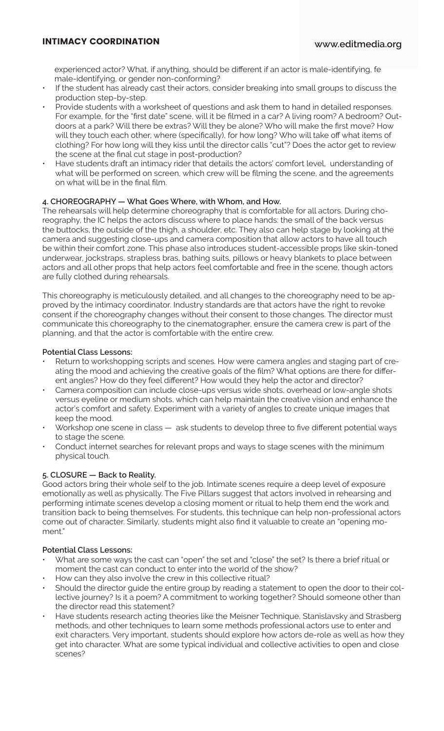experienced actor? What, if anything, should be different if an actor is male-identifying, fe male-identifying, or gender non-conforming?

- If the student has already cast their actors, consider breaking into small groups to discuss the production step-by-step.
- Provide students with a worksheet of questions and ask them to hand in detailed responses. For example, for the "first date" scene, will it be filmed in a car? A living room? A bedroom? Outdoors at a park? Will there be extras? Will they be alone? Who will make the first move? How will they touch each other, where (specifically), for how long? Who will take off what items of clothing? For how long will they kiss until the director calls "cut"? Does the actor get to review the scene at the final cut stage in post-production?
- Have students draft an intimacy rider that details the actors' comfort level, understanding of what will be performed on screen, which crew will be filming the scene, and the agreements on what will be in the final film.

#### **4. CHOREOGRAPHY — What Goes Where, with Whom, and How.**

The rehearsals will help determine choreography that is comfortable for all actors. During choreography, the IC helps the actors discuss where to place hands: the small of the back versus the buttocks, the outside of the thigh, a shoulder, etc. They also can help stage by looking at the camera and suggesting close-ups and camera composition that allow actors to have all touch be within their comfort zone. This phase also introduces student-accessible props like skin-toned underwear, jockstraps, strapless bras, bathing suits, pillows or heavy blankets to place between actors and all other props that help actors feel comfortable and free in the scene, though actors are fully clothed during rehearsals.

This choreography is meticulously detailed, and all changes to the choreography need to be approved by the intimacy coordinator. Industry standards are that actors have the right to revoke consent if the choreography changes without their consent to those changes. The director must communicate this choreography to the cinematographer, ensure the camera crew is part of the planning, and that the actor is comfortable with the entire crew.

#### **Potential Class Lessons:**

- Return to workshopping scripts and scenes. How were camera angles and staging part of creating the mood and achieving the creative goals of the film? What options are there for different angles? How do they feel different? How would they help the actor and director?
- Camera composition can include close-ups versus wide shots, overhead or low-angle shots versus eyeline or medium shots, which can help maintain the creative vision and enhance the actor's comfort and safety. Experiment with a variety of angles to create unique images that keep the mood.
- Workshop one scene in class ask students to develop three to five different potential ways to stage the scene.
- Conduct internet searches for relevant props and ways to stage scenes with the minimum physical touch.

#### **5. CLOSURE — Back to Reality.**

Good actors bring their whole self to the job. Intimate scenes require a deep level of exposure emotionally as well as physically. The Five Pillars suggest that actors involved in rehearsing and performing intimate scenes develop a closing moment or ritual to help them end the work and transition back to being themselves. For students, this technique can help non-professional actors come out of character. Similarly, students might also find it valuable to create an "opening moment."

#### **Potential Class Lessons:**

- What are some ways the cast can "open" the set and "close" the set? Is there a brief ritual or moment the cast can conduct to enter into the world of the show?
- How can they also involve the crew in this collective ritual?
- Should the director guide the entire group by reading a statement to open the door to their collective journey? Is it a poem? A commitment to working together? Should someone other than the director read this statement?
- Have students research acting theories like the Meisner Technique, Stanislavsky and Strasberg methods, and other techniques to learn some methods professional actors use to enter and exit characters. Very important, students should explore how actors de-role as well as how they get into character. What are some typical individual and collective activities to open and close scenes?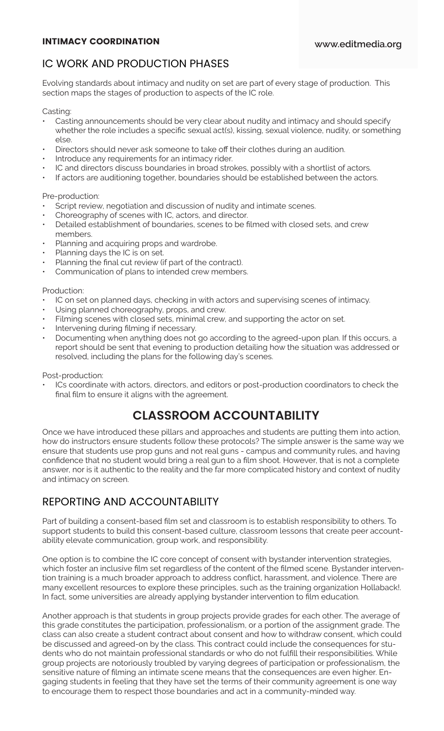# IC WORK AND PRODUCTION PHASES

Evolving standards about intimacy and nudity on set are part of every stage of production. This section maps the stages of production to aspects of the IC role.

Casting:

- Casting announcements should be very clear about nudity and intimacy and should specify whether the role includes a specific sexual act(s), kissing, sexual violence, nudity, or something else.
- Directors should never ask someone to take off their clothes during an audition.
- Introduce any requirements for an intimacy rider.
- IC and directors discuss boundaries in broad strokes, possibly with a shortlist of actors.
- If actors are auditioning together, boundaries should be established between the actors.

Pre-production:

- Script review, negotiation and discussion of nudity and intimate scenes.
- Choreography of scenes with IC, actors, and director.
- Detailed establishment of boundaries, scenes to be filmed with closed sets, and crew members.
- Planning and acquiring props and wardrobe.
- Planning days the IC is on set.
- Planning the final cut review (if part of the contract).
- Communication of plans to intended crew members.

Production:

- IC on set on planned days, checking in with actors and supervising scenes of intimacy.
- Using planned choreography, props, and crew.
- Filming scenes with closed sets, minimal crew, and supporting the actor on set.
- Intervening during filming if necessary.
- Documenting when anything does not go according to the agreed-upon plan. If this occurs, a report should be sent that evening to production detailing how the situation was addressed or resolved, including the plans for the following day's scenes.

Post-production:

ICs coordinate with actors, directors, and editors or post-production coordinators to check the final film to ensure it aligns with the agreement.

# **CLASSROOM ACCOUNTABILITY**

Once we have introduced these pillars and approaches and students are putting them into action, how do instructors ensure students follow these protocols? The simple answer is the same way we ensure that students use prop guns and not real guns - campus and community rules, and having confidence that no student would bring a real gun to a film shoot. However, that is not a complete answer, nor is it authentic to the reality and the far more complicated history and context of nudity and intimacy on screen.

## REPORTING AND ACCOUNTABILITY

Part of building a consent-based film set and classroom is to establish responsibility to others. To support students to build this consent-based culture, classroom lessons that create peer accountability elevate communication, group work, and responsibility.

One option is to combine the IC core concept of consent with bystander intervention strategies, which foster an inclusive film set regardless of the content of the filmed scene. Bystander intervention training is a much broader approach to address conflict, harassment, and violence. There are many excellent resources to explore these principles, such as the training organization Hollaback!. In fact, some universities are already applying bystander intervention to film education.

Another approach is that students in group projects provide grades for each other. The average of this grade constitutes the participation, professionalism, or a portion of the assignment grade. The class can also create a student contract about consent and how to withdraw consent, which could be discussed and agreed-on by the class. This contract could include the consequences for students who do not maintain professional standards or who do not fulfill their responsibilities. While group projects are notoriously troubled by varying degrees of participation or professionalism, the sensitive nature of filming an intimate scene means that the consequences are even higher. Engaging students in feeling that they have set the terms of their community agreement is one way to encourage them to respect those boundaries and act in a community-minded way.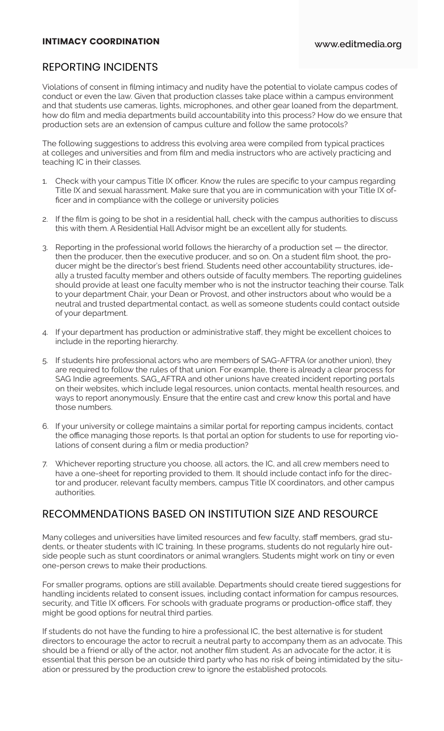## REPORTING INCIDENTS

Violations of consent in filming intimacy and nudity have the potential to violate campus codes of conduct or even the law. Given that production classes take place within a campus environment and that students use cameras, lights, microphones, and other gear loaned from the department, how do film and media departments build accountability into this process? How do we ensure that production sets are an extension of campus culture and follow the same protocols?

The following suggestions to address this evolving area were compiled from typical practices at colleges and universities and from film and media instructors who are actively practicing and teaching IC in their classes.

- 1. Check with your campus Title IX officer. Know the rules are specific to your campus regarding Title IX and sexual harassment. Make sure that you are in communication with your Title IX officer and in compliance with the college or university policies
- 2. If the film is going to be shot in a residential hall, check with the campus authorities to discuss this with them. A Residential Hall Advisor might be an excellent ally for students.
- 3. Reporting in the professional world follows the hierarchy of a production set the director, then the producer, then the executive producer, and so on. On a student film shoot, the producer might be the director's best friend. Students need other accountability structures, ideally a trusted faculty member and others outside of faculty members. The reporting guidelines should provide at least one faculty member who is not the instructor teaching their course. Talk to your department Chair, your Dean or Provost, and other instructors about who would be a neutral and trusted departmental contact, as well as someone students could contact outside of your department.
- 4. If your department has production or administrative staff, they might be excellent choices to include in the reporting hierarchy.
- 5. If students hire professional actors who are members of SAG-AFTRA (or another union), they are required to follow the rules of that union. For example, there is already a clear process for SAG Indie agreements. SAG\_AFTRA and other unions have created incident reporting portals on their websites, which include legal resources, union contacts, mental health resources, and ways to report anonymously. Ensure that the entire cast and crew know this portal and have those numbers.
- 6. If your university or college maintains a similar portal for reporting campus incidents, contact the office managing those reports. Is that portal an option for students to use for reporting violations of consent during a film or media production?
- 7. Whichever reporting structure you choose, all actors, the IC, and all crew members need to have a one-sheet for reporting provided to them. It should include contact info for the director and producer, relevant faculty members, campus Title IX coordinators, and other campus authorities.

### RECOMMENDATIONS BASED ON INSTITUTION SIZE AND RESOURCE

Many colleges and universities have limited resources and few faculty, staff members, grad students, or theater students with IC training. In these programs, students do not regularly hire outside people such as stunt coordinators or animal wranglers. Students might work on tiny or even one-person crews to make their productions.

For smaller programs, options are still available. Departments should create tiered suggestions for handling incidents related to consent issues, including contact information for campus resources, security, and Title IX officers. For schools with graduate programs or production-office staff, they might be good options for neutral third parties.

If students do not have the funding to hire a professional IC, the best alternative is for student directors to encourage the actor to recruit a neutral party to accompany them as an advocate. This should be a friend or ally of the actor, not another film student. As an advocate for the actor, it is essential that this person be an outside third party who has no risk of being intimidated by the situation or pressured by the production crew to ignore the established protocols.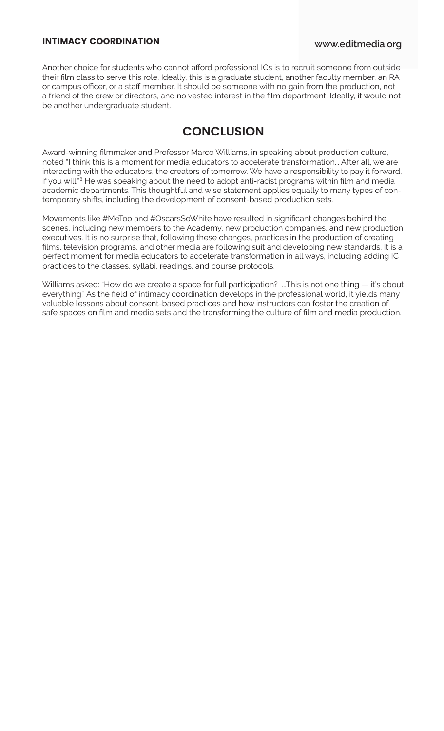Another choice for students who cannot afford professional ICs is to recruit someone from outside their film class to serve this role. Ideally, this is a graduate student, another faculty member, an RA or campus officer, or a staff member. It should be someone with no gain from the production, not a friend of the crew or directors, and no vested interest in the film department. Ideally, it would not be another undergraduate student.

# **CONCLUSION**

Award-winning filmmaker and Professor Marco Williams, in speaking about production culture, noted "I think this is a moment for media educators to accelerate transformation... After all, we are interacting with the educators, the creators of tomorrow. We have a responsibility to pay it forward, if you will.<sup>"8</sup> He was speaking about the need to adopt anti-racist programs within film and media academic departments. This thoughtful and wise statement applies equally to many types of contemporary shifts, including the development of consent-based production sets.

Movements like #MeToo and #OscarsSoWhite have resulted in significant changes behind the scenes, including new members to the Academy, new production companies, and new production executives. It is no surprise that, following these changes, practices in the production of creating films, television programs, and other media are following suit and developing new standards. It is a perfect moment for media educators to accelerate transformation in all ways, including adding IC practices to the classes, syllabi, readings, and course protocols.

Williams asked: "How do we create a space for full participation? ...This is not one thing — it's about everything." As the field of intimacy coordination develops in the professional world, it yields many valuable lessons about consent-based practices and how instructors can foster the creation of safe spaces on film and media sets and the transforming the culture of film and media production.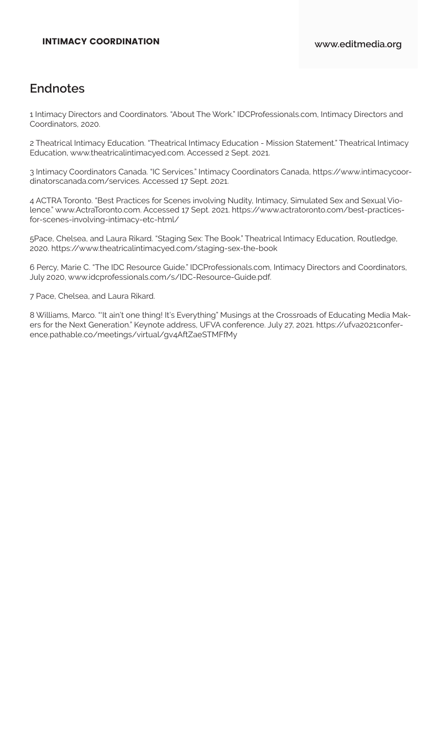# **Endnotes**

1 Intimacy Directors and Coordinators. "About The Work." IDCProfessionals.com, Intimacy Directors and Coordinators, 2020.

2 Theatrical Intimacy Education. "Theatrical Intimacy Education - Mission Statement." Theatrical Intimacy Education, www.theatricalintimacyed.com. Accessed 2 Sept. 2021.

3 Intimacy Coordinators Canada. "IC Services." Intimacy Coordinators Canada, https://www.intimacycoordinatorscanada.com/services. Accessed 17 Sept. 2021.

4 ACTRA Toronto. "Best Practices for Scenes involving Nudity, Intimacy, Simulated Sex and Sexual Violence." www.ActraToronto.com. Accessed 17 Sept. 2021. https://www.actratoronto.com/best-practicesfor-scenes-involving-intimacy-etc-html/

5Pace, Chelsea, and Laura Rikard. "Staging Sex: The Book." Theatrical Intimacy Education, Routledge, 2020. https://www.theatricalintimacyed.com/staging-sex-the-book

6 Percy, Marie C. "The IDC Resource Guide." IDCProfessionals.com, Intimacy Directors and Coordinators, July 2020, www.idcprofessionals.com/s/IDC-Resource-Guide.pdf.

7 Pace, Chelsea, and Laura Rikard.

8 Williams, Marco. "'It ain't one thing! It's Everything" Musings at the Crossroads of Educating Media Makers for the Next Generation." Keynote address, UFVA conference. July 27, 2021. https://ufva2021conference.pathable.co/meetings/virtual/gv4AftZaeSTMFfMy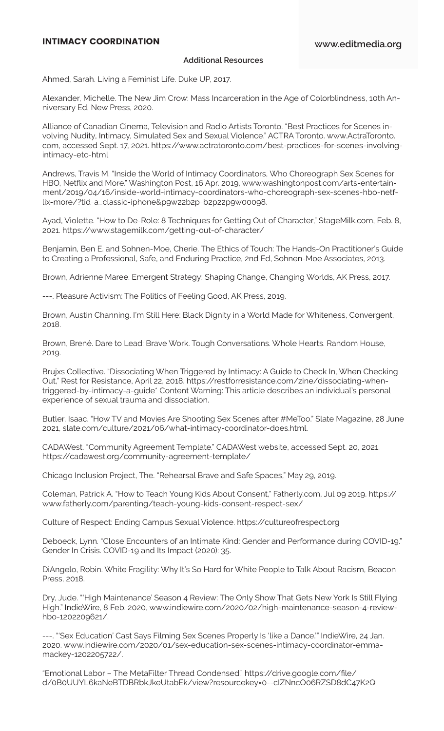#### **Additional Resources**

Ahmed, Sarah. Living a Feminist Life. Duke UP, 2017.

Alexander, Michelle. The New Jim Crow: Mass Incarceration in the Age of Colorblindness, 10th Anniversary Ed, New Press, 2020.

Alliance of Canadian Cinema, Television and Radio Artists Toronto. "Best Practices for Scenes involving Nudity, Intimacy, Simulated Sex and Sexual Violence." ACTRA Toronto. www.ActraToronto. com, accessed Sept. 17, 2021. https://www.actratoronto.com/best-practices-for-scenes-involvingintimacy-etc-html

Andrews, Travis M. "Inside the World of Intimacy Coordinators, Who Choreograph Sex Scenes for HBO, Netflix and More." Washington Post, 16 Apr. 2019, www.washingtonpost.com/arts-entertainment/2019/04/16/inside-world-intimacy-coordinators-who-choreograph-sex-scenes-hbo-netflix-more/?tid=a\_classic-iphone&p9w22b2p=b2p22p9w00098.

Ayad, Violette. "How to De-Role: 8 Techniques for Getting Out of Character," StageMilk.com, Feb. 8, 2021. https://www.stagemilk.com/getting-out-of-character/

Benjamin, Ben E. and Sohnen-Moe, Cherie. The Ethics of Touch: The Hands-On Practitioner's Guide to Creating a Professional, Safe, and Enduring Practice, 2nd Ed, Sohnen-Moe Associates, 2013.

Brown, Adrienne Maree. Emergent Strategy: Shaping Change, Changing Worlds, AK Press, 2017.

---. Pleasure Activism: The Politics of Feeling Good, AK Press, 2019.

Brown, Austin Channing. I'm Still Here: Black Dignity in a World Made for Whiteness, Convergent, 2018.

Brown, Brené. Dare to Lead: Brave Work. Tough Conversations. Whole Hearts. Random House, 2019.

Brujxs Collective. "Dissociating When Triggered by Intimacy: A Guide to Check In, When Checking Out," Rest for Resistance, April 22, 2018. https://restforresistance.com/zine/dissociating-whentriggered-by-intimacy-a-guide\* Content Warning: This article describes an individual's personal experience of sexual trauma and dissociation.

Butler, Isaac. "How TV and Movies Are Shooting Sex Scenes after #MeToo." Slate Magazine, 28 June 2021, slate.com/culture/2021/06/what-intimacy-coordinator-does.html.

CADAWest. "Community Agreement Template." CADAWest website, accessed Sept. 20, 2021. https://cadawest.org/community-agreement-template/

Chicago Inclusion Project, The. "Rehearsal Brave and Safe Spaces," May 29, 2019.

Coleman, Patrick A. "How to Teach Young Kids About Consent," Fatherly.com, Jul 09 2019. https:// www.fatherly.com/parenting/teach-young-kids-consent-respect-sex/

Culture of Respect: Ending Campus Sexual Violence. https://cultureofrespect.org

Deboeck, Lynn. "Close Encounters of an Intimate Kind: Gender and Performance during COVID-19." Gender In Crisis. COVID-19 and Its Impact (2020): 35.

DiAngelo, Robin. White Fragility: Why It's So Hard for White People to Talk About Racism, Beacon Press, 2018.

Dry, Jude. "'High Maintenance' Season 4 Review: The Only Show That Gets New York Is Still Flying High." IndieWire, 8 Feb. 2020, www.indiewire.com/2020/02/high-maintenance-season-4-reviewhbo-1202209621/.

---. "'Sex Education' Cast Says Filming Sex Scenes Properly Is 'like a Dance.'" IndieWire, 24 Jan. 2020. www.indiewire.com/2020/01/sex-education-sex-scenes-intimacy-coordinator-emmamackey-1202205722/.

"Emotional Labor – The MetaFilter Thread Condensed." https://drive.google.com/file/ d/0B0UUYL6kaNeBTDBRbkJkeUtabEk/view?resourcekey=0--cIZNncO06RZSD8dC47K2Q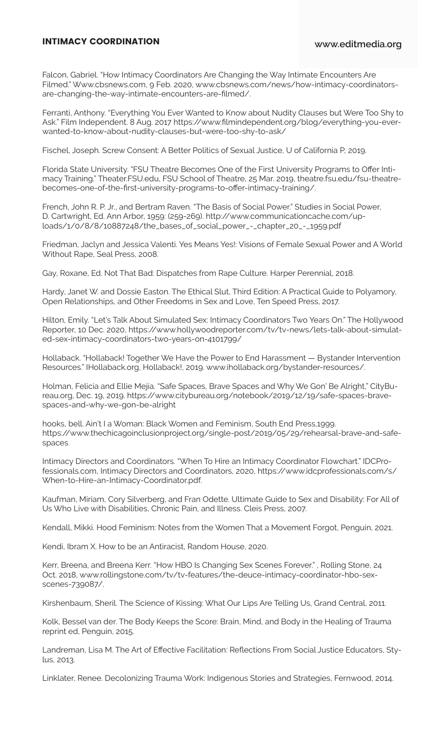Falcon, Gabriel. "How Intimacy Coordinators Are Changing the Way Intimate Encounters Are Filmed." Www.cbsnews.com, 9 Feb. 2020, www.cbsnews.com/news/how-intimacy-coordinatorsare-changing-the-way-intimate-encounters-are-filmed/.

Ferranti, Anthony. "Everything You Ever Wanted to Know about Nudity Clauses but Were Too Shy to Ask." Film Independent. 8 Aug. 2017 https://www.filmindependent.org/blog/everything-you-everwanted-to-know-about-nudity-clauses-but-were-too-shy-to-ask/

Fischel, Joseph. Screw Consent: A Better Politics of Sexual Justice, U of California P, 2019.

Florida State University. "FSU Theatre Becomes One of the First University Programs to Offer Intimacy Training." Theater.FSU.edu, FSU School of Theatre, 25 Mar. 2019, theatre.fsu.edu/fsu-theatrebecomes-one-of-the-first-university-programs-to-offer-intimacy-training/.

French, John R. P. Jr., and Bertram Raven. "The Basis of Social Power." Studies in Social Power, D. Cartwright, Ed. Ann Arbor, 1959: (259-269). http://www.communicationcache.com/uploads/1/0/8/8/10887248/the\_bases\_of\_social\_power\_-\_chapter\_20\_-\_1959.pdf

Friedman, Jaclyn and Jessica Valenti. Yes Means Yes!: Visions of Female Sexual Power and A World Without Rape, Seal Press, 2008.

Gay, Roxane, Ed. Not That Bad: Dispatches from Rape Culture. Harper Perennial, 2018.

Hardy, Janet W. and Dossie Easton. The Ethical Slut, Third Edition: A Practical Guide to Polyamory, Open Relationships, and Other Freedoms in Sex and Love, Ten Speed Press, 2017.

Hilton, Emily. "Let's Talk About Simulated Sex: Intimacy Coordinators Two Years On." The Hollywood Reporter, 10 Dec. 2020, https://www.hollywoodreporter.com/tv/tv-news/lets-talk-about-simulated-sex-intimacy-coordinators-two-years-on-4101799/

Hollaback. "Hollaback! Together We Have the Power to End Harassment — Bystander Intervention Resources." IHollaback.org, Hollaback!, 2019. www.ihollaback.org/bystander-resources/.

Holman, Felicia and Ellie Mejía. "Safe Spaces, Brave Spaces and Why We Gon' Be Alright," CityBureau.org, Dec. 19, 2019. https://www.citybureau.org/notebook/2019/12/19/safe-spaces-bravespaces-and-why-we-gon-be-alright

hooks, bell. Ain't I a Woman: Black Women and Feminism, South End Press,1999. https://www.thechicagoinclusionproject.org/single-post/2019/05/29/rehearsal-brave-and-safespaces

Intimacy Directors and Coordinators. "When To Hire an Intimacy Coordinator Flowchart." IDCProfessionals.com, Intimacy Directors and Coordinators, 2020, https://www.idcprofessionals.com/s/ When-to-Hire-an-Intimacy-Coordinator.pdf.

Kaufman, Miriam, Cory Silverberg, and Fran Odette. Ultimate Guide to Sex and Disability: For All of Us Who Live with Disabilities, Chronic Pain, and Illness. Cleis Press, 2007.

Kendall, Mikki. Hood Feminism: Notes from the Women That a Movement Forgot, Penguin, 2021.

Kendi, Ibram X. How to be an Antiracist, Random House, 2020.

Kerr, Breena, and Breena Kerr. "How HBO Is Changing Sex Scenes Forever." , Rolling Stone, 24 Oct. 2018, www.rollingstone.com/tv/tv-features/the-deuce-intimacy-coordinator-hbo-sexscenes-739087/.

Kirshenbaum, Sheril. The Science of Kissing: What Our Lips Are Telling Us, Grand Central, 2011.

Kolk, Bessel van der. The Body Keeps the Score: Brain, Mind, and Body in the Healing of Trauma reprint ed, Penguin, 2015.

Landreman, Lisa M. The Art of Effective Facilitation: Reflections From Social Justice Educators, Stylus, 2013.

Linklater, Renee. Decolonizing Trauma Work: Indigenous Stories and Strategies, Fernwood, 2014.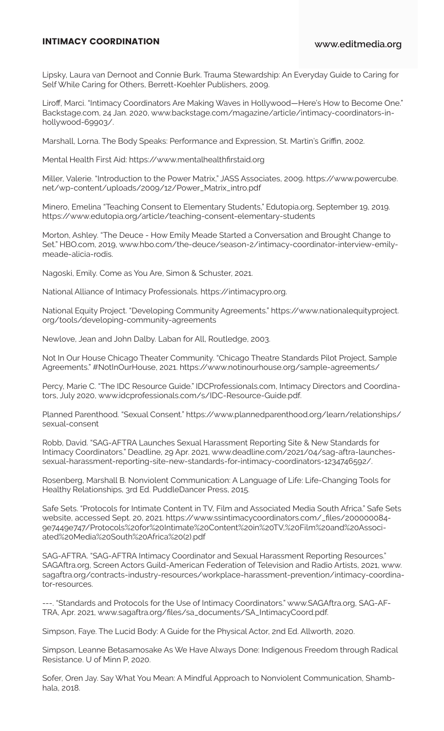Lipsky, Laura van Dernoot and Connie Burk. Trauma Stewardship: An Everyday Guide to Caring for Self While Caring for Others, Berrett-Koehler Publishers, 2009.

Liroff, Marci. "Intimacy Coordinators Are Making Waves in Hollywood—Here's How to Become One." Backstage.com, 24 Jan. 2020, www.backstage.com/magazine/article/intimacy-coordinators-inhollywood-69903/.

Marshall, Lorna. The Body Speaks: Performance and Expression, St. Martin's Griffin, 2002.

Mental Health First Aid: https://www.mentalhealthfirstaid.org

Miller, Valerie. "Introduction to the Power Matrix," JASS Associates, 2009. https://www.powercube. net/wp-content/uploads/2009/12/Power\_Matrix\_intro.pdf

Minero, Emelina "Teaching Consent to Elementary Students," Edutopia.org, September 19, 2019. https://www.edutopia.org/article/teaching-consent-elementary-students

Morton, Ashley. "The Deuce - How Emily Meade Started a Conversation and Brought Change to Set." HBO.com, 2019, www.hbo.com/the-deuce/season-2/intimacy-coordinator-interview-emilymeade-alicia-rodis.

Nagoski, Emily. Come as You Are, Simon & Schuster, 2021.

National Alliance of Intimacy Professionals. https://intimacypro.org.

National Equity Project. "Developing Community Agreements." https://www.nationalequityproject. org/tools/developing-community-agreements

Newlove, Jean and John Dalby. Laban for All, Routledge, 2003.

Not In Our House Chicago Theater Community. "Chicago Theatre Standards Pilot Project, Sample Agreements." #NotInOurHouse, 2021. https://www.notinourhouse.org/sample-agreements/

Percy, Marie C. "The IDC Resource Guide." IDCProfessionals.com, Intimacy Directors and Coordinators, July 2020, www.idcprofessionals.com/s/IDC-Resource-Guide.pdf.

Planned Parenthood. "Sexual Consent." https://www.plannedparenthood.org/learn/relationships/ sexual-consent

Robb, David. "SAG-AFTRA Launches Sexual Harassment Reporting Site & New Standards for Intimacy Coordinators." Deadline, 29 Apr. 2021, www.deadline.com/2021/04/sag-aftra-launchessexual-harassment-reporting-site-new-standards-for-intimacy-coordinators-1234746592/.

Rosenberg, Marshall B. Nonviolent Communication: A Language of Life: Life-Changing Tools for Healthy Relationships, 3rd Ed. PuddleDancer Press, 2015.

Safe Sets. "Protocols for Intimate Content in TV, Film and Associated Media South Africa." Safe Sets website, accessed Sept. 20, 2021. https://www.ssintimacycoordinators.com/\_files/200000084- 9e7449e747/Protocols%20for%20Intimate%20Content%20in%20TV,%20Film%20and%20Associated%20Media%20South%20Africa%20(2).pdf

SAG-AFTRA. "SAG-AFTRA Intimacy Coordinator and Sexual Harassment Reporting Resources." SAGAftra.org, Screen Actors Guild-American Federation of Television and Radio Artists, 2021, www. sagaftra.org/contracts-industry-resources/workplace-harassment-prevention/intimacy-coordinator-resources.

---. "Standards and Protocols for the Use of Intimacy Coordinators." www.SAGAftra.org, SAG-AF-TRA, Apr. 2021, www.sagaftra.org/files/sa\_documents/SA\_IntimacyCoord.pdf.

Simpson, Faye. The Lucid Body: A Guide for the Physical Actor, 2nd Ed. Allworth, 2020.

Simpson, Leanne Betasamosake As We Have Always Done: Indigenous Freedom through Radical Resistance. U of Minn P, 2020.

Sofer, Oren Jay. Say What You Mean: A Mindful Approach to Nonviolent Communication, Shambhala, 2018.